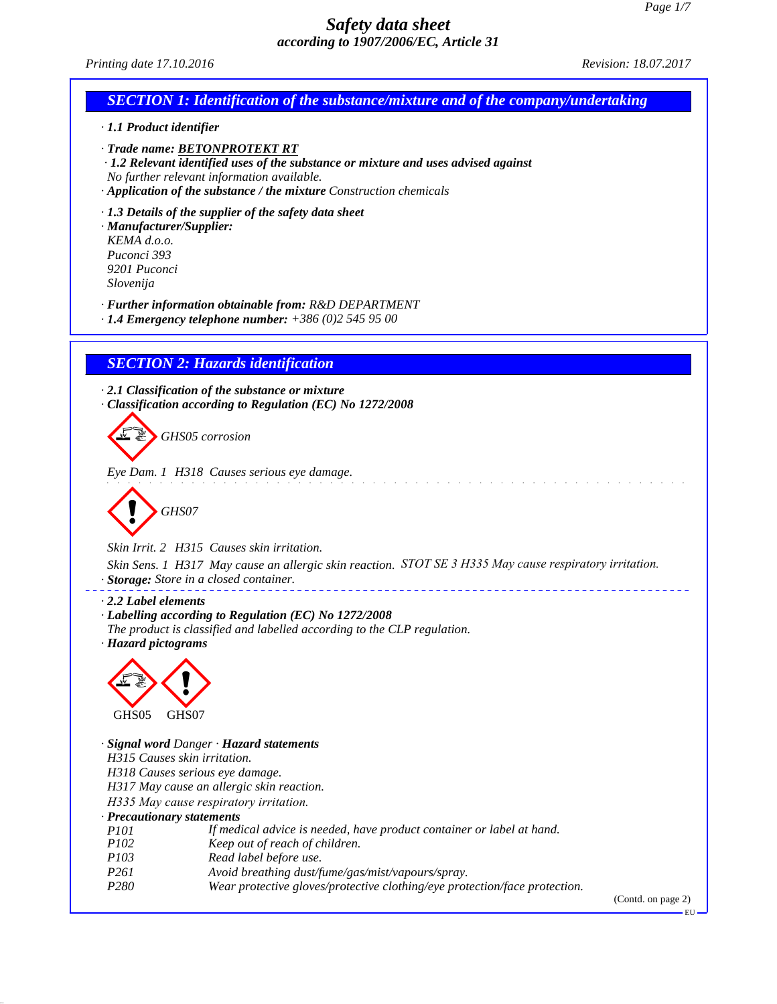*Printing date 17.10.2016 Revision: 18.07.2017*

| $1.100000$ and $1.10000$                                |                                                                                                                                                                                                                                                       |
|---------------------------------------------------------|-------------------------------------------------------------------------------------------------------------------------------------------------------------------------------------------------------------------------------------------------------|
|                                                         | <b>SECTION 1: Identification of the substance/mixture and of the company/undertaking</b>                                                                                                                                                              |
| · 1.1 Product identifier                                |                                                                                                                                                                                                                                                       |
|                                                         | · Trade name: BETONPROTEKT RT<br>$\cdot$ 1.2 Relevant identified uses of the substance or mixture and uses advised against<br>No further relevant information available.<br>$\cdot$ Application of the substance / the mixture Construction chemicals |
| KEMA d.o.o.<br>Puconci 393<br>9201 Puconci<br>Slovenija | $\cdot$ 1.3 Details of the supplier of the safety data sheet<br>· Manufacturer/Supplier:                                                                                                                                                              |
|                                                         | · Further information obtainable from: R&D DEPARTMENT<br>$\cdot$ 1.4 Emergency telephone number: +386 (0)2 545 95 00                                                                                                                                  |
|                                                         | <b>SECTION 2: Hazards identification</b>                                                                                                                                                                                                              |
|                                                         | $\cdot$ 2.1 Classification of the substance or mixture<br>Classification according to Regulation (EC) No 1272/2008                                                                                                                                    |
|                                                         | GHS05 corrosion                                                                                                                                                                                                                                       |
|                                                         | Eye Dam. 1 H318 Causes serious eye damage.                                                                                                                                                                                                            |
|                                                         | GHS07                                                                                                                                                                                                                                                 |
|                                                         | Skin Irrit. 2 H315 Causes skin irritation.                                                                                                                                                                                                            |
|                                                         | Skin Sens. 1 H317 May cause an allergic skin reaction. STOT SE 3 H335 May cause respiratory irritation.<br>· Storage: Store in a closed container.                                                                                                    |
| $\cdot$ 2.2 Label elements<br>· Hazard pictograms       | · Labelling according to Regulation (EC) No 1272/2008<br>The product is classified and labelled according to the CLP regulation.                                                                                                                      |
|                                                         |                                                                                                                                                                                                                                                       |
| GHS05                                                   | GHS07<br>· Signal word Danger · Hazard statements                                                                                                                                                                                                     |
|                                                         | H315 Causes skin irritation.                                                                                                                                                                                                                          |
|                                                         | H318 Causes serious eye damage.<br>H317 May cause an allergic skin reaction.                                                                                                                                                                          |
|                                                         | H335 May cause respiratory irritation.                                                                                                                                                                                                                |
|                                                         | · Precautionary statements                                                                                                                                                                                                                            |
| <i>P101</i>                                             | If medical advice is needed, have product container or label at hand.                                                                                                                                                                                 |
| P102<br>P103                                            | Keep out of reach of children.<br>Read label before use.                                                                                                                                                                                              |
| P <sub>261</sub>                                        | Avoid breathing dust/fume/gas/mist/vapours/spray.                                                                                                                                                                                                     |
| P <sub>280</sub>                                        | Wear protective gloves/protective clothing/eye protection/face protection.                                                                                                                                                                            |

(Contd. on page 2)

 $\overline{\phantom{0}}$  EU  $\overline{\phantom{0}}$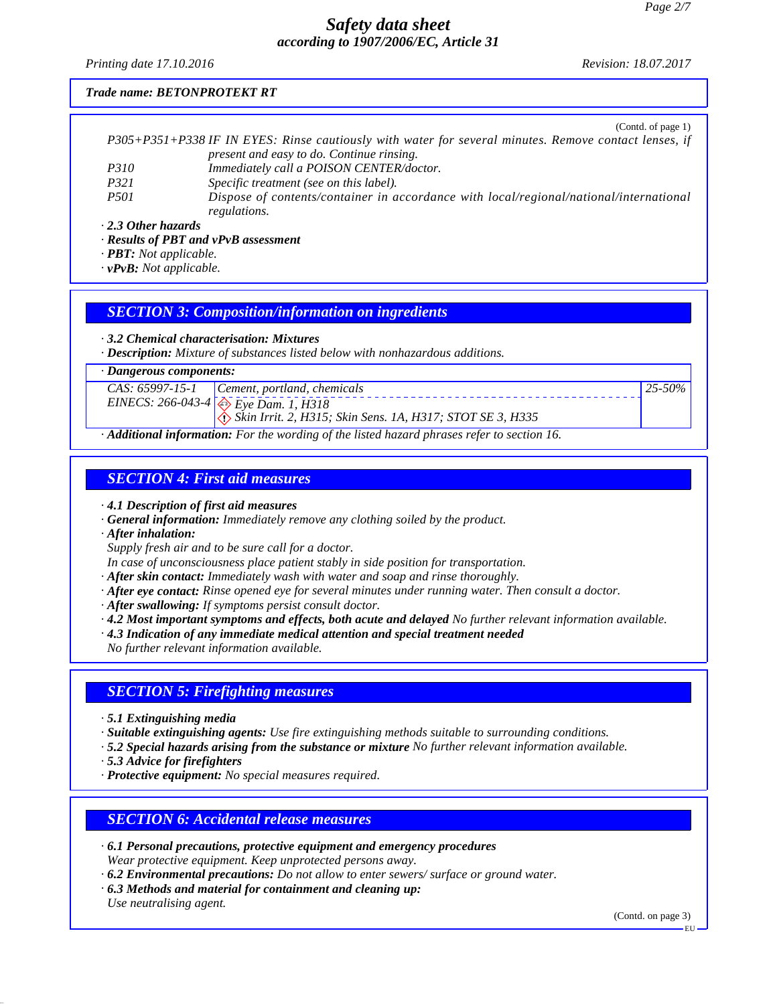*Printing date 17.10.2016 Revision: 18.07.2017*

 $(C_{\text{optd}} \circ f_{\text{mean}})$ 

#### *Trade name: BETONPROTEKT RT*

|                           | $(0.01)(0.01)$ page $1)$                                                                               |
|---------------------------|--------------------------------------------------------------------------------------------------------|
|                           | P305+P351+P338 IF IN EYES: Rinse cautiously with water for several minutes. Remove contact lenses, if  |
|                           | present and easy to do. Continue rinsing.                                                              |
| <i>P310</i>               | Immediately call a POISON CENTER/doctor.                                                               |
| <i>P321</i>               | Specific treatment (see on this label).                                                                |
| <i>P501</i>               | Dispose of contents/container in accordance with local/regional/national/international<br>regulations. |
| $\cdot$ 2.3 Other hazards |                                                                                                        |

*· Results of PBT and vPvB assessment*

*· PBT: Not applicable.*

*· vPvB: Not applicable.*

#### *SECTION 3: Composition/information on ingredients*

*· 3.2 Chemical characterisation: Mixtures*

*· Description: Mixture of substances listed below with nonhazardous additions.*

*· Dangerous components:*

|   | $CAS: 65997-15-1$ Cement, portland, chemicals                                     | $125 - 50\%$ |
|---|-----------------------------------------------------------------------------------|--------------|
|   | EINECS: 266-043-4 $\leftrightarrow$ Eye Dam. 1, H318                              |              |
|   | $\langle \cdot \rangle$ Skin Irrit. 2, H315; Skin Sens. 1A, H317; STOT SE 3, H335 |              |
| . |                                                                                   |              |

*· Additional information: For the wording of the listed hazard phrases refer to section 16.*

#### *SECTION 4: First aid measures*

*· 4.1 Description of first aid measures*

- *· General information: Immediately remove any clothing soiled by the product.*
- *· After inhalation:*

*Supply fresh air and to be sure call for a doctor.*

*In case of unconsciousness place patient stably in side position for transportation.*

*· After skin contact: Immediately wash with water and soap and rinse thoroughly.*

- *· After eye contact: Rinse opened eye for several minutes under running water. Then consult a doctor.*
- *· After swallowing: If symptoms persist consult doctor.*
- *· 4.2 Most important symptoms and effects, both acute and delayed No further relevant information available.*
- *· 4.3 Indication of any immediate medical attention and special treatment needed*

*No further relevant information available.*

## *SECTION 5: Firefighting measures*

*· 5.1 Extinguishing media*

*· Suitable extinguishing agents: Use fire extinguishing methods suitable to surrounding conditions.*

- *· 5.2 Special hazards arising from the substance or mixture No further relevant information available.*
- *· 5.3 Advice for firefighters*
- *· Protective equipment: No special measures required.*

### *SECTION 6: Accidental release measures*

- *· 6.1 Personal precautions, protective equipment and emergency procedures Wear protective equipment. Keep unprotected persons away.*
- *· 6.2 Environmental precautions: Do not allow to enter sewers/ surface or ground water.*
- *· 6.3 Methods and material for containment and cleaning up: Use neutralising agent.*

(Contd. on page 3)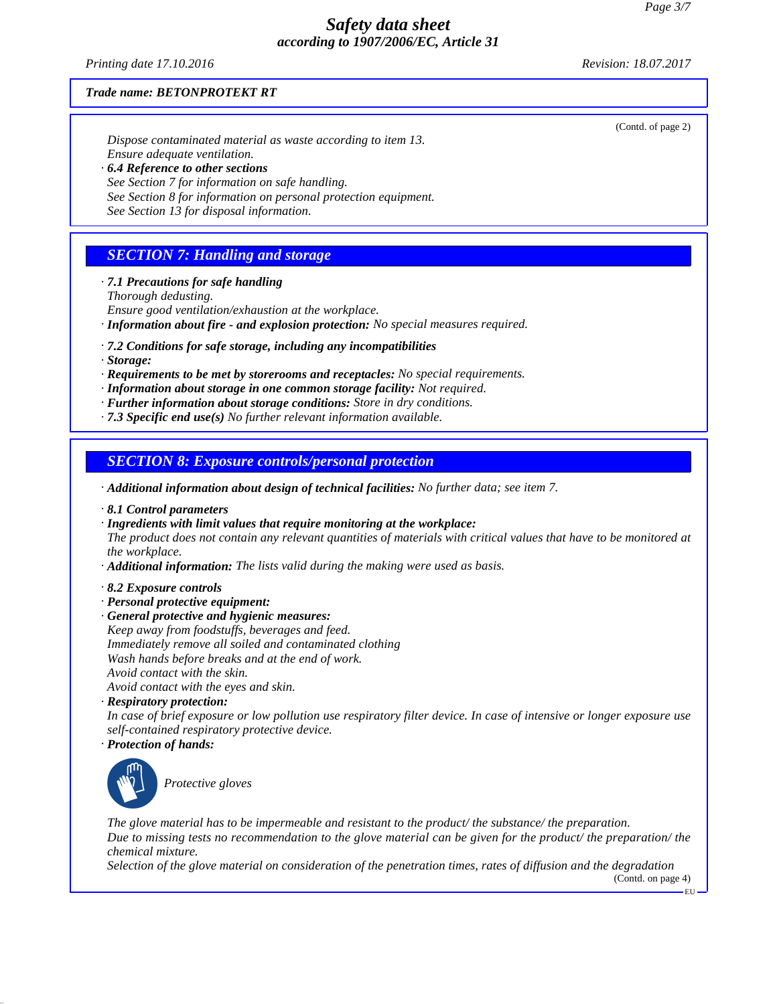*Printing date 17.10.2016 Revision: 18.07.2017*

(Contd. of page 2)

#### *Trade name: BETONPROTEKT RT*

*Dispose contaminated material as waste according to item 13. Ensure adequate ventilation. · 6.4 Reference to other sections See Section 7 for information on safe handling.*

*See Section 8 for information on personal protection equipment.*

*See Section 13 for disposal information.*

## *SECTION 7: Handling and storage*

*· 7.1 Precautions for safe handling*

*Thorough dedusting.*

*Ensure good ventilation/exhaustion at the workplace.*

- *· Information about fire and explosion protection: No special measures required.*
- *· 7.2 Conditions for safe storage, including any incompatibilities*
- *· Storage:*
- *· Requirements to be met by storerooms and receptacles: No special requirements.*
- *· Information about storage in one common storage facility: Not required.*
- *· Further information about storage conditions: Store in dry conditions.*
- *· 7.3 Specific end use(s) No further relevant information available.*

### *SECTION 8: Exposure controls/personal protection*

*· Additional information about design of technical facilities: No further data; see item 7.*

- *· 8.1 Control parameters*
- *· Ingredients with limit values that require monitoring at the workplace:*

*The product does not contain any relevant quantities of materials with critical values that have to be monitored at the workplace.*

- *· Additional information: The lists valid during the making were used as basis.*
- *· 8.2 Exposure controls*
- *· Personal protective equipment:*
- *· General protective and hygienic measures:*
- *Keep away from foodstuffs, beverages and feed. Immediately remove all soiled and contaminated clothing Wash hands before breaks and at the end of work. Avoid contact with the skin. Avoid contact with the eyes and skin.*
- *· Respiratory protection:*

*In case of brief exposure or low pollution use respiratory filter device. In case of intensive or longer exposure use self-contained respiratory protective device.*

*· Protection of hands:*



\_S*Protective gloves*

*The glove material has to be impermeable and resistant to the product/ the substance/ the preparation. Due to missing tests no recommendation to the glove material can be given for the product/ the preparation/ the chemical mixture.*

*Selection of the glove material on consideration of the penetration times, rates of diffusion and the degradation*

(Contd. on page 4) EU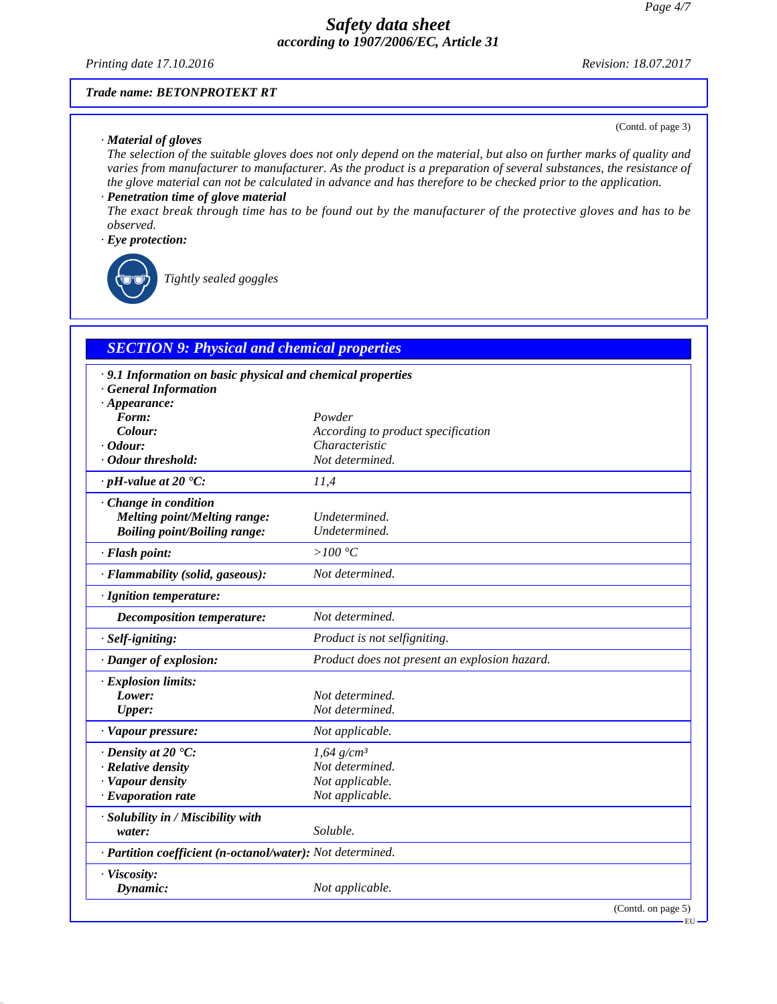*Printing date 17.10.2016 Revision: 18.07.2017*

(Contd. of page 3)

#### *Trade name: BETONPROTEKT RT*

#### *· Material of gloves*

*The selection of the suitable gloves does not only depend on the material, but also on further marks of quality and varies from manufacturer to manufacturer. As the product is a preparation of several substances, the resistance of the glove material can not be calculated in advance and has therefore to be checked prior to the application.*

#### *· Penetration time of glove material*

*The exact break through time has to be found out by the manufacturer of the protective gloves and has to be observed.*

#### *· Eye protection:*



\_R*Tightly sealed goggles*

## *SECTION 9: Physical and chemical properties*

| · 9.1 Information on basic physical and chemical properties |                                               |
|-------------------------------------------------------------|-----------------------------------------------|
| <b>General Information</b>                                  |                                               |
| $\cdot$ Appearance:<br>Form:                                | Powder                                        |
| Colour:                                                     | According to product specification            |
| $\cdot$ Odour:                                              | Characteristic                                |
| · Odour threshold:                                          | Not determined.                               |
| $\cdot$ pH-value at 20 $\textdegree$ C:                     | 11,4                                          |
| $\cdot$ Change in condition                                 |                                               |
| <b>Melting point/Melting range:</b>                         | Undetermined.                                 |
| <b>Boiling point/Boiling range:</b>                         | Undetermined.                                 |
| · Flash point:                                              | $>100\,^{\circ}\mathrm{C}$                    |
| · Flammability (solid, gaseous):                            | Not determined.                               |
| · Ignition temperature:                                     |                                               |
| Decomposition temperature:                                  | Not determined.                               |
| $·$ <i>Self-igniting:</i>                                   | Product is not selfigniting.                  |
| · Danger of explosion:                                      | Product does not present an explosion hazard. |
| · Explosion limits:                                         |                                               |
| Lower:                                                      | Not determined.                               |
| <b>Upper:</b>                                               | Not determined.                               |
| · Vapour pressure:                                          | Not applicable.                               |
| $\cdot$ Density at 20 $\cdot$ C:                            | $1,64$ g/cm <sup>3</sup>                      |
| · Relative density                                          | Not determined.                               |
| · Vapour density                                            | Not applicable.                               |
| $\cdot$ Evaporation rate                                    | Not applicable.                               |
| · Solubility in / Miscibility with                          |                                               |
| water:                                                      | Soluble.                                      |
| · Partition coefficient (n-octanol/water): Not determined.  |                                               |
| · Viscosity:                                                |                                               |
| Dynamic:                                                    | Not applicable.                               |
|                                                             | (Contd. on page 5)                            |

EU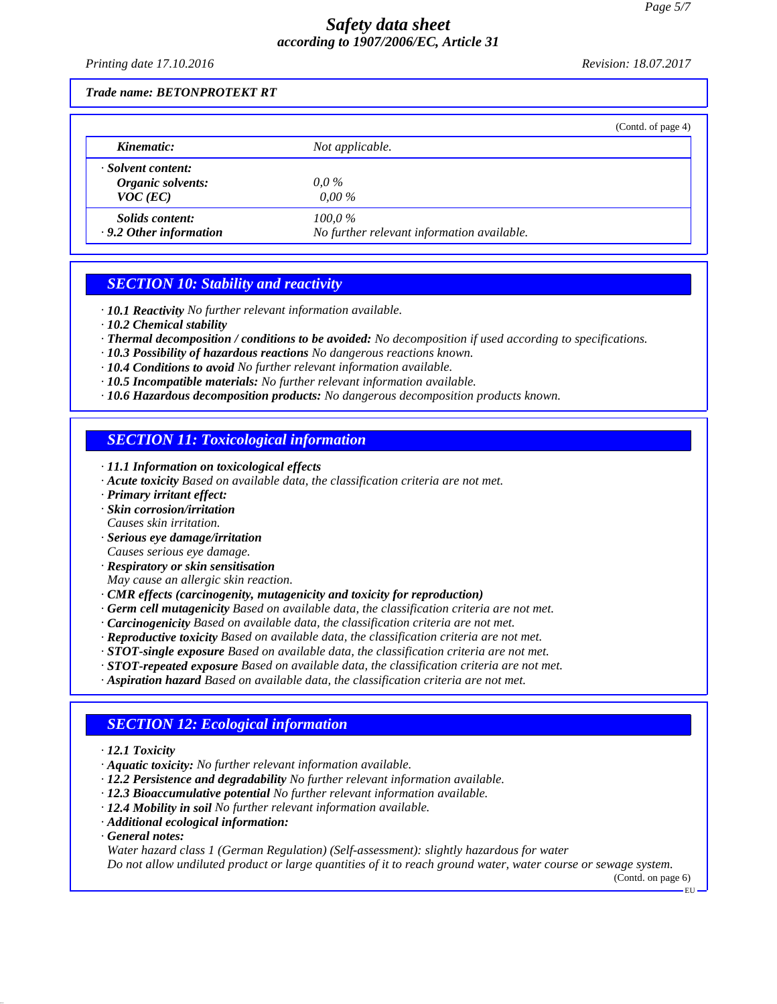*Printing date 17.10.2016 Revision: 18.07.2017*

#### *Trade name: BETONPROTEKT RT*

|                                                         | (Contd. of page 4)                                      |
|---------------------------------------------------------|---------------------------------------------------------|
| Kinematic:                                              | Not applicable.                                         |
| · Solvent content:<br>Organic solvents:<br>$VOC$ (EC)   | $0.0\,\%$<br>$0.00\%$                                   |
| <i>Solids content:</i><br>$\cdot$ 9.2 Other information | $100.0\%$<br>No further relevant information available. |

### *SECTION 10: Stability and reactivity*

- *· 10.1 Reactivity No further relevant information available.*
- *· 10.2 Chemical stability*
- *· Thermal decomposition / conditions to be avoided: No decomposition if used according to specifications.*
- *· 10.3 Possibility of hazardous reactions No dangerous reactions known.*
- *· 10.4 Conditions to avoid No further relevant information available.*
- *· 10.5 Incompatible materials: No further relevant information available.*
- *· 10.6 Hazardous decomposition products: No dangerous decomposition products known.*

### *SECTION 11: Toxicological information*

- *· 11.1 Information on toxicological effects*
- *· Acute toxicity Based on available data, the classification criteria are not met.*
- *· Primary irritant effect:*
- *· Skin corrosion/irritation*
- *Causes skin irritation.*
- *· Serious eye damage/irritation Causes serious eye damage.*
- *· Respiratory or skin sensitisation*
- *May cause an allergic skin reaction.*
- *· CMR effects (carcinogenity, mutagenicity and toxicity for reproduction)*
- *· Germ cell mutagenicity Based on available data, the classification criteria are not met.*
- *· Carcinogenicity Based on available data, the classification criteria are not met.*
- *· Reproductive toxicity Based on available data, the classification criteria are not met.*
- *· STOT-single exposure Based on available data, the classification criteria are not met.*
- *· STOT-repeated exposure Based on available data, the classification criteria are not met.*
- *· Aspiration hazard Based on available data, the classification criteria are not met.*

## *SECTION 12: Ecological information*

- *· 12.1 Toxicity*
- *· Aquatic toxicity: No further relevant information available.*
- *· 12.2 Persistence and degradability No further relevant information available.*
- *· 12.3 Bioaccumulative potential No further relevant information available.*
- *· 12.4 Mobility in soil No further relevant information available.*
- *· Additional ecological information:*
- *· General notes:*

*Water hazard class 1 (German Regulation) (Self-assessment): slightly hazardous for water Do not allow undiluted product or large quantities of it to reach ground water, water course or sewage system.*

(Contd. on page 6)

EU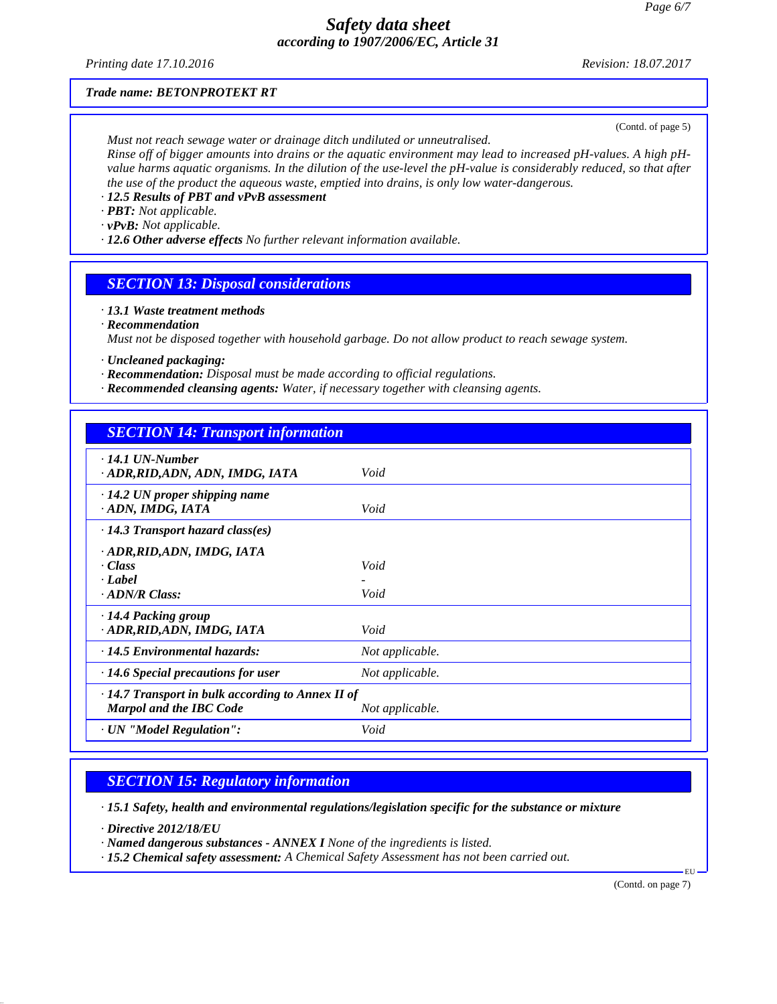*Printing date 17.10.2016 Revision: 18.07.2017*

### *Trade name: BETONPROTEKT RT*

(Contd. of page 5)

*Must not reach sewage water or drainage ditch undiluted or unneutralised. Rinse off of bigger amounts into drains or the aquatic environment may lead to increased pH-values. A high pHvalue harms aquatic organisms. In the dilution of the use-level the pH-value is considerably reduced, so that after the use of the product the aqueous waste, emptied into drains, is only low water-dangerous.*

*· 12.5 Results of PBT and vPvB assessment*

*· PBT: Not applicable.*

*· vPvB: Not applicable.*

*· 12.6 Other adverse effects No further relevant information available.*

## *SECTION 13: Disposal considerations*

*· 13.1 Waste treatment methods*

*· Recommendation*

*Must not be disposed together with household garbage. Do not allow product to reach sewage system.*

*· Uncleaned packaging:*

- *· Recommendation: Disposal must be made according to official regulations.*
- *· Recommended cleansing agents: Water, if necessary together with cleansing agents.*

| <b>SECTION 14: Transport information</b>                                           |                 |
|------------------------------------------------------------------------------------|-----------------|
| $\cdot$ 14.1 UN-Number<br>· ADR, RID, ADN, ADN, IMDG, IATA                         | Void            |
| $\cdot$ 14.2 UN proper shipping name<br>ADN, IMDG, IATA                            | Void            |
| $\cdot$ 14.3 Transport hazard class(es)                                            |                 |
| · ADR, RID, ADN, IMDG, IATA<br>· Class<br>· Label<br>$\cdot$ ADN/R Class:          | Void<br>Void    |
| $\cdot$ 14.4 Packing group<br>· ADR, RID, ADN, IMDG, IATA                          | Void            |
| · 14.5 Environmental hazards:                                                      | Not applicable. |
| $\cdot$ 14.6 Special precautions for user                                          | Not applicable. |
| $\cdot$ 14.7 Transport in bulk according to Annex II of<br>Marpol and the IBC Code | Not applicable. |
| · UN "Model Regulation":                                                           | Void            |

# *SECTION 15: Regulatory information*

*· 15.1 Safety, health and environmental regulations/legislation specific for the substance or mixture*

*· Directive 2012/18/EU*

*· Named dangerous substances - ANNEX I None of the ingredients is listed.*

*· 15.2 Chemical safety assessment: A Chemical Safety Assessment has not been carried out.*

(Contd. on page 7)

EU